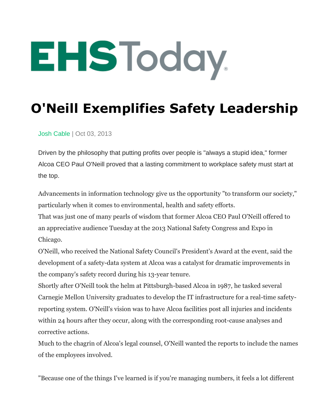## EHSToday.

## **O'Neill Exemplifies Safety Leadership**

[Josh Cable](https://www.ehstoday.com/author/josh-cable) | Oct 03, 2013

Driven by the philosophy that putting profits over people is "always a stupid idea," former Alcoa CEO Paul O'Neill proved that a lasting commitment to workplace safety must start at the top.

Advancements in information technology give us the opportunity "to transform our society," particularly when it comes to environmental, health and safety efforts.

That was just one of many pearls of wisdom that former Alcoa CEO Paul O'Neill offered to an appreciative audience Tuesday at the 2013 National Safety Congress and Expo in Chicago.

O'Neill, who received the National Safety Council's President's Award at the event, said the development of a safety-data system at Alcoa was a catalyst for dramatic improvements in the company's safety record during his 13-year tenure.

Shortly after O'Neill took the helm at Pittsburgh-based Alcoa in 1987, he tasked several Carnegie Mellon University graduates to develop the IT infrastructure for a real-time safetyreporting system. O'Neill's vision was to have Alcoa facilities post all injuries and incidents within 24 hours after they occur, along with the corresponding root-cause analyses and corrective actions.

Much to the chagrin of Alcoa's legal counsel, O'Neill wanted the reports to include the names of the employees involved.

"Because one of the things I've learned is if you're managing numbers, it feels a lot different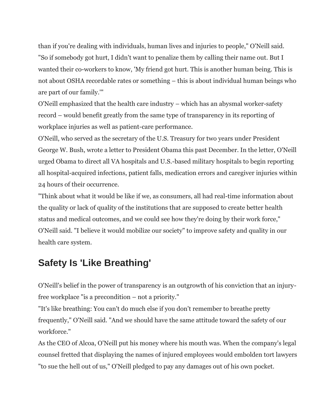than if you're dealing with individuals, human lives and injuries to people," O'Neill said. "So if somebody got hurt, I didn't want to penalize them by calling their name out. But I wanted their co-workers to know, 'My friend got hurt. This is another human being. This is not about OSHA recordable rates or something – this is about individual human beings who are part of our family.'"

O'Neill emphasized that the health care industry – which has an abysmal worker-safety record – would benefit greatly from the same type of transparency in its reporting of workplace injuries as well as patient-care performance.

O'Neill, who served as the secretary of the U.S. Treasury for two years under President George W. Bush, wrote a letter to President Obama this past December. In the letter, O'Neill urged Obama to direct all VA hospitals and U.S.-based military hospitals to begin reporting all hospital-acquired infections, patient falls, medication errors and caregiver injuries within 24 hours of their occurrence.

"Think about what it would be like if we, as consumers, all had real-time information about the quality or lack of quality of the institutions that are supposed to create better health status and medical outcomes, and we could see how they're doing by their work force," O'Neill said. "I believe it would mobilize our society" to improve safety and quality in our health care system.

## **Safety Is 'Like Breathing'**

O'Neill's belief in the power of transparency is an outgrowth of his conviction that an injuryfree workplace "is a precondition – not a priority."

"It's like breathing: You can't do much else if you don't remember to breathe pretty frequently," O'Neill said. "And we should have the same attitude toward the safety of our workforce."

As the CEO of Alcoa, O'Neill put his money where his mouth was. When the company's legal counsel fretted that displaying the names of injured employees would embolden tort lawyers "to sue the hell out of us," O'Neill pledged to pay any damages out of his own pocket.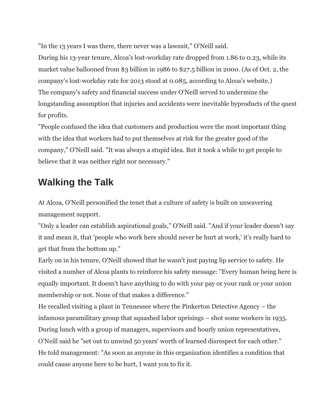"In the 13 years I was there, there never was a lawsuit," O'Neill said.

During his 13-year tenure, Alcoa's lost-workday rate dropped from 1.86 to 0.23, while its market value ballooned from \$3 billion in 1986 to \$27.5 billion in 2000. (As of Oct. 2, the company's lost-workday rate for 2013 stood at 0.085, according to Alcoa's website.) The company's safety and financial success under O'Neill served to undermine the longstanding assumption that injuries and accidents were inevitable byproducts of the quest for profits.

"People confused the idea that customers and production were the most important thing with the idea that workers had to put themselves at risk for the greater good of the company," O'Neill said. "It was always a stupid idea. But it took a while to get people to believe that it was neither right nor necessary."

## **Walking the Talk**

At Alcoa, O'Neill personified the tenet that a culture of safety is built on unwavering management support.

"Only a leader can establish aspirational goals," O'Neill said. "And if your leader doesn't say it and mean it, that 'people who work here should never be hurt at work,' it's really hard to get that from the bottom up."

Early on in his tenure, O'Neill showed that he wasn't just paying lip service to safety. He visited a number of Alcoa plants to reinforce his safety message: "Every human being here is equally important. It doesn't have anything to do with your pay or your rank or your union membership or not. None of that makes a difference."

He recalled visiting a plant in Tennessee where the Pinkerton Detective Agency – the infamous paramilitary group that squashed labor uprisings – shot some workers in 1935. During lunch with a group of managers, supervisors and hourly union representatives, O'Neill said he "set out to unwind 50 years' worth of learned disrespect for each other." He told management: "As soon as anyone in this organization identifies a condition that could cause anyone here to be hurt, I want you to fix it.